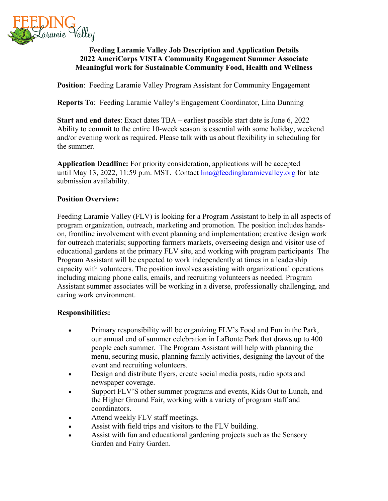

## **Feeding Laramie Valley Job Description and Application Details 2022 AmeriCorps VISTA Community Engagement Summer Associate Meaningful work for Sustainable Community Food, Health and Wellness**

**Position:** Feeding Laramie Valley Program Assistant for Community Engagement

**Reports To**: Feeding Laramie Valley's Engagement Coordinator, Lina Dunning

**Start and end dates**: Exact dates TBA – earliest possible start date is June 6, 2022 Ability to commit to the entire 10-week season is essential with some holiday, weekend and/or evening work as required. Please talk with us about flexibility in scheduling for the summer.

**Application Deadline:** For priority consideration, applications will be accepted until May 13, 2022, 11:59 p.m. MST. Contact  $\lim_{a \downarrow 0} a$  feeding laramievalley.org for late submission availability.

## **Position Overview:**

Feeding Laramie Valley (FLV) is looking for a Program Assistant to help in all aspects of program organization, outreach, marketing and promotion. The position includes handson, frontline involvement with event planning and implementation; creative design work for outreach materials; supporting farmers markets, overseeing design and visitor use of educational gardens at the primary FLV site, and working with program participants The Program Assistant will be expected to work independently at times in a leadership capacity with volunteers. The position involves assisting with organizational operations including making phone calls, emails, and recruiting volunteers as needed. Program Assistant summer associates will be working in a diverse, professionally challenging, and caring work environment.

# **Responsibilities:**

- Primary responsibility will be organizing FLV's Food and Fun in the Park, our annual end of summer celebration in LaBonte Park that draws up to 400 people each summer. The Program Assistant will help with planning the menu, securing music, planning family activities, designing the layout of the event and recruiting volunteers.
- Design and distribute flyers, create social media posts, radio spots and newspaper coverage.
- Support FLV'S other summer programs and events, Kids Out to Lunch, and the Higher Ground Fair, working with a variety of program staff and coordinators.
- Attend weekly FLV staff meetings.
- Assist with field trips and visitors to the FLV building.
- Assist with fun and educational gardening projects such as the Sensory Garden and Fairy Garden.